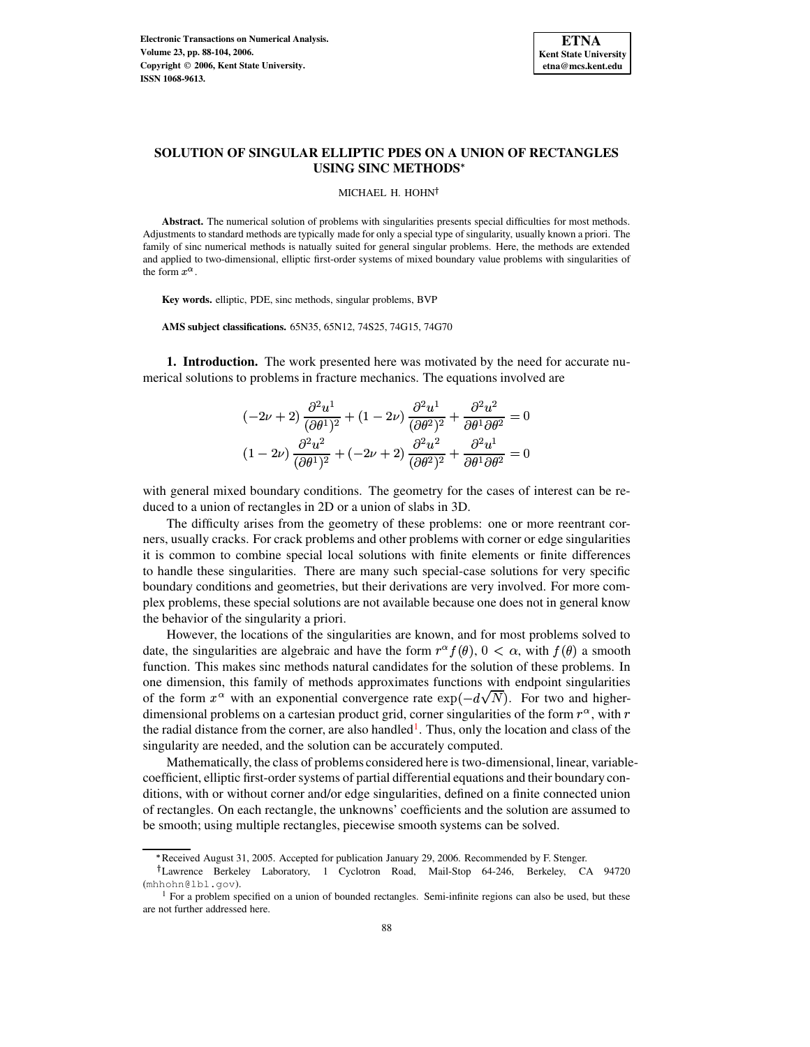

# **SOLUTION OF SINGULAR ELLIPTIC PDES ON A UNION OF RECTANGLES USING SINC METHODS**

MICHAEL H. HOHN<sup>†</sup>

**Abstract.** The numerical solution of problems with singularities presents special difficulties for most methods. Adjustments to standard methods are typically made for only a special type of singularity, usually known a priori. The family of sinc numerical methods is natually suited for general singular problems. Here, the methods are extended and applied to two-dimensional, elliptic first-order systems of mixed boundary value problems with singularities of the form  $x^{\alpha}$ .

**Key words.** elliptic, PDE, sinc methods, singular problems, BVP

**AMS subject classifications.** 65N35, 65N12, 74S25, 74G15, 74G70

**1. Introduction.** The work presented here was motivated by the need for accurate numerical solutions to problems in fracture mechanics. The equations involved are

$$
(-2\nu+2)\frac{\partial^2 u^1}{(\partial \theta^1)^2} + (1-2\nu)\frac{\partial^2 u^1}{(\partial \theta^2)^2} + \frac{\partial^2 u^2}{\partial \theta^1 \partial \theta^2} = 0
$$
  

$$
(1-2\nu)\frac{\partial^2 u^2}{(\partial \theta^1)^2} + (-2\nu+2)\frac{\partial^2 u^2}{(\partial \theta^2)^2} + \frac{\partial^2 u^1}{\partial \theta^1 \partial \theta^2} = 0
$$

with general mixed boundary conditions. The geometry for the cases of interest can be reduced to a union of rectangles in 2D or a union of slabs in 3D.

The difficulty arises from the geometry of these problems: one or more reentrant corners, usually cracks. For crack problems and other problems with corner or edge singularities it is common to combine special local solutions with finite elements or finite differences to handle these singularities. There are many such special-case solutions for very specific boundary conditions and geometries, but their derivations are very involved. For more complex problems, these special solutions are not available because one does not in general know the behavior of the singularity a priori.

However, the locations of the singularities are known, and for most problems solved to date, the singularities are algebraic and have the form  $r^{\alpha} f(\theta)$ ,  $0 < \alpha$ , with  $f(\theta)$  a smooth function. This makes sinc methods natural candidates for the solution of these problems. In one dimension, this family of methods approximates functions with endpoint singularities of the form  $x^{\alpha}$  with an exponential convergence rate  $\exp(-d\sqrt{N})$ . For two and higherdimensional problems on a cartesian product grid, corner singularities of the form  $r^{\alpha}$ , with r the radial distance from the corner, are also handled<sup>[1](#page-0-0)</sup>. Thus, only the location and class of the singularity are needed, and the solution can be accurately computed.

Mathematically, the class of problems considered here is two-dimensional, linear, variablecoefficient, elliptic first-order systems of partial differential equations and their boundary conditions, with or without corner and/or edge singularities, defined on a finite connected union of rectangles. On each rectangle, the unknowns' coefficients and the solution are assumed to be smooth; using multiple rectangles, piecewise smooth systems can be solved.

<sup>&</sup>lt; Received August 31, 2005. Accepted for publication January 29, 2006. Recommended by F. Stenger.

Lawrence Berkeley Laboratory, 1 Cyclotron Road, Mail-Stop 64-246, Berkeley, CA 94720 (mhhohn@lbl.gov).

<span id="page-0-0"></span> $<sup>1</sup>$  For a problem specified on a union of bounded rectangles. Semi-infinite regions can also be used, but these</sup> are not further addressed here.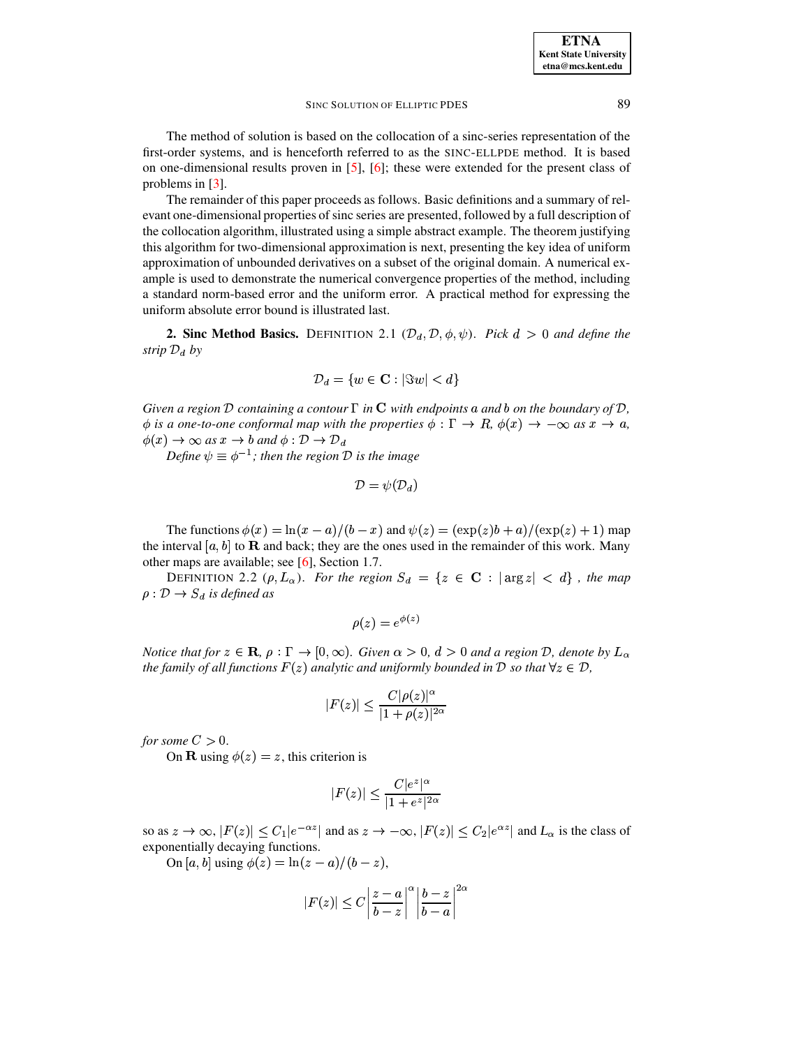The method of solution is based on the collocation of a sinc-series representation of the first-order systems, and is henceforth referred to as the SINC-ELLPDE method. It is based on one-dimensional results proven in [\[5\]](#page-16-0), [\[6\]](#page-16-1); these were extended for the present class of problems in [\[3\]](#page-16-2).

The remainder of this paper proceeds as follows. Basic definitions and a summary of relevant one-dimensional properties of sinc series are presented, followed by a full description of the collocation algorithm, illustrated using a simple abstract example. The theorem justifying this algorithm for two-dimensional approximation is next, presenting the key idea of uniform approximation of unbounded derivatives on a subset of the original domain. A numerical example is used to demonstrate the numerical convergence properties of the method, including a standard norm-based error and the uniform error. A practical method for expressing the uniform absolute error bound is illustrated last.

**2. Sinc Method Basics.** DEFINITION 2.1  $(D_d, D, \phi, \psi)$ . Pick  $d > 0$  and define the *strip*  $\mathcal{D}_d$  *by* 

$$
\mathcal{D}_d = \{w \in \mathbf{C} : |\Im w| < d\}
$$

*Given a region*  $D$  *containing a contour*  $\Gamma$  *in*  $C$  *with endpoints* a *and*  $b$  *on the boundary of*  $D$ *,*  $\phi$  is a one-to-one conformal map with the properties  $\phi$  :  $\Gamma \to R$ ,  $\phi(x) \to -\infty$  as  $x \to a$ ,  $\phi(x) \to \infty$  as  $x \to b$  and  $\phi: \mathcal{D} \to \mathcal{D}_d$ 

*Define*  $\psi \equiv \phi^{-1}$ ; *then the region*  $\mathcal D$  *is the image* 

$$
\mathcal{D}=\psi(\mathcal{D}_d)
$$

The functions  $\phi(x) = \ln(x-a)/(b-x)$  and  $\psi(z) = (\exp(z)b + a)/(\exp(z) + 1)$  map the interval  $[a, b]$  to **R** and back; they are the ones used in the remainder of this work. Many other maps are available; see [\[6\]](#page-16-1), Section 1.7.

DEFINITION 2.2  $(\rho, L_{\alpha})$ . *For the region*  $S_d = \{z \in \mathbf{C} : |\arg z| < d\}$ , *the map*  $\rho: \mathcal{D} \rightarrow S_d$  is defined as

$$
\rho(z) = e^{\phi(z)}
$$

*Notice* that for  $z \in \mathbf{R}$ ,  $\rho : \Gamma \to [0, \infty)$ . Given  $\alpha > 0$ ,  $d > 0$  and a region  $\mathcal{D}$ , denote by  $L_{\alpha}$ *the family of all functions*  $F(z)$  *analytic and uniformly bounded in*  $D$  *so that*  $\forall z \in D$ ,

$$
|F(z)| \le \frac{C|\rho(z)|^\alpha}{|1+\rho(z)|^{2\alpha}}
$$

*for some*  $C > 0$ .

On **R** using  $\phi(z) = z$ , this criterion is

$$
|F(z)| \le \frac{C|e^z|^\alpha}{|1+e^z|^{2\alpha}}
$$

so as  $z \to \infty$ ,  $|F(z)| \le C_1 |e^{-\alpha z}|$  and as z exponentially decaying functions. <sup>z</sup> | and as  $z \to -\infty$ ,  $|F(z)| \leq C_2 |e^{\alpha z}|$  and  $L_{\alpha}$  is <sup>2</sup> | and  $L_{\alpha}$  is the class of

On [a, b] using  $\phi(z) = \ln(z-a)/(b-z)$ ,

$$
|F(z)| \le C \left| \frac{z-a}{b-z} \right|^\alpha \left| \frac{b-z}{b-a} \right|^{2\alpha}
$$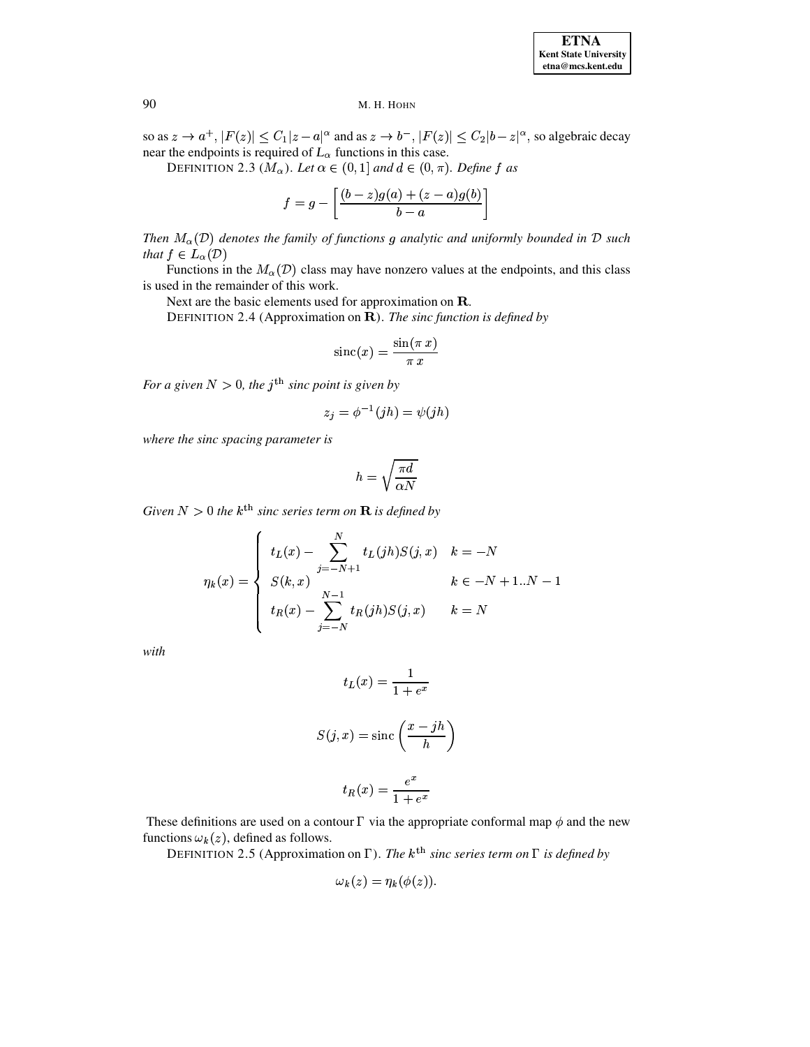so as  $z \to a^+$ ,  $|F(z)| \leq C_1 |z-a|^\alpha$  and as  $z \to b^-$ ,  $|F(z)| \leq C_2 |b-z|^\alpha$ , so algebraic decay near the endpoints is required of  $L_{\alpha}$  functions in this case.

DEFINITION 2.3 ( $M_{\alpha}$ ). Let  $\alpha \in (0,1]$  and  $d \in (0,\pi)$ . Define f as

$$
f=g-\left[\frac{(b-z)g(a)+(z-a)g(b)}{b-a}\right]
$$

*Then*  $M_\alpha(\mathcal{D})$  denotes the family of functions g analytic and uniformly bounded in  $\mathcal D$  such that  $f \in L_{\alpha}(\mathcal{D})$ 

Functions in the  $M_{\alpha}(\mathcal{D})$  class may have nonzero values at the endpoints, and this class is used in the remainder of this work.

Next are the basic elements used for approximation on **.** 

DEFINITION 2.4 (Approximation on **R**). *The sinc function is defined by* 

$$
\text{sinc}(x) = \frac{\sin(\pi\,x)}{\pi\,x}
$$

*For a given*  $N > 0$ , the j<sup>th</sup> sinc point is given by

$$
z_j = \phi^{-1}(jh) = \psi(jh)
$$

*where the sinc spacing parameter is*

$$
h=\sqrt{\frac{\pi d}{\alpha N}}
$$

 $Given N > 0$  the  $k^{\text{th}}$  sinc series term on  $\bf R$  is defined by

$$
\eta_k(x) = \begin{cases} t_L(x) - \sum_{j=-N+1}^{N} t_L(jh)S(j,x) & k = -N \\ S(k,x) & k \in -N+1..N-1 \\ t_R(x) - \sum_{j=-N}^{N-1} t_R(jh)S(j,x) & k = N \end{cases}
$$

*with*

$$
t_L(x) = \frac{1}{1 + e^x}
$$

$$
S(j, x) = \text{sinc}\left(\frac{x - jh}{h}\right)
$$

$$
t_R(x) = \frac{e^x}{1 + e^x}
$$

These definitions are used on a contour  $\Gamma$  via the appropriate conformal map  $\phi$  and the new functions  $\omega_k(z)$ , defined as follows.

DEFINITION 2.5 (Approximation on  $\Gamma$ ). *The*  $k^{\text{th}}$  *sinc series term on*  $\Gamma$  *is defined by* 

$$
\omega_{\mathbf{k}}(z) = \eta_{\mathbf{k}}(\phi(z)).
$$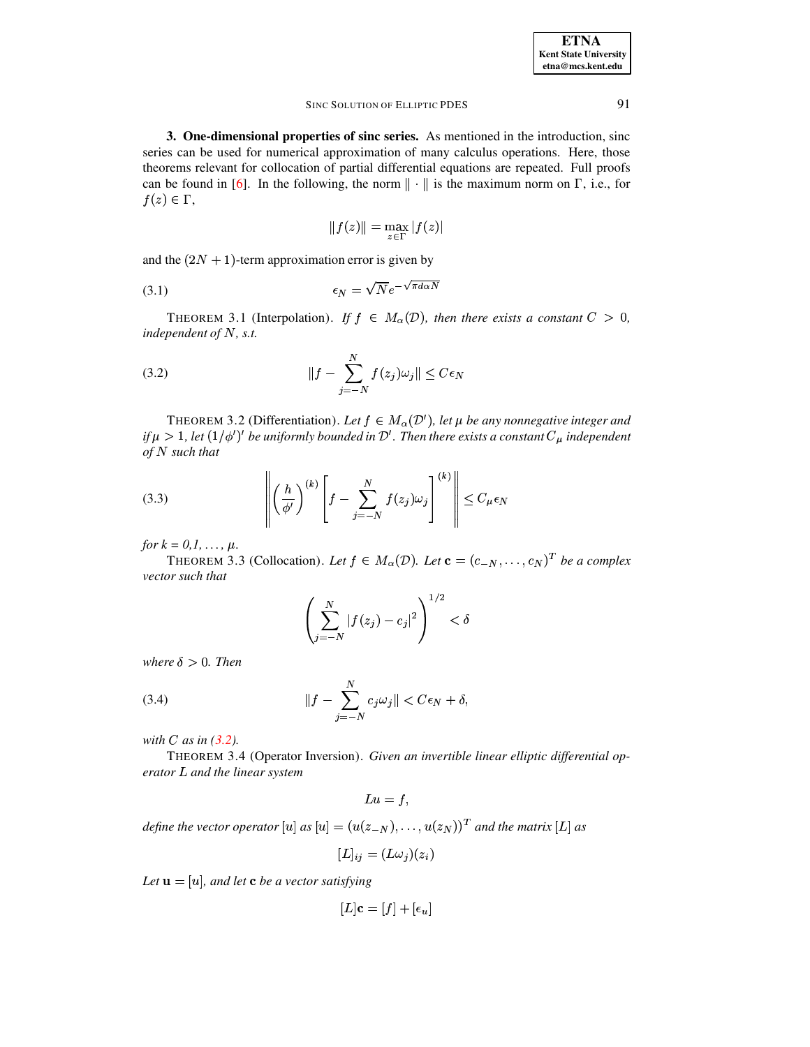3. One-dimensional properties of sinc series. As mentioned in the introduction, sinc series can be used for numerical approximation of many calculus operations. Here, those theorems relevant for collocation of partial differential equations are repeated. Full proofs can be found in [6]. In the following, the norm  $\|\cdot\|$  is the maximum norm on  $\Gamma$ , i.e., for  $f(z) \in \Gamma$ ,

<span id="page-3-5"></span>
$$
||f(z)|| = \max_{z \in \Gamma} |f(z)|
$$

and the  $(2N + 1)$ -term approximation error is given by

$$
\epsilon_N = \sqrt{N}e^{-\sqrt{\pi d\alpha N}}
$$

<span id="page-3-0"></span>THEOREM 3.1 (Interpolation). If  $f \in M_\alpha(\mathcal{D})$ , then there exists a constant  $C > 0$ , independent of  $N$ , s.t.

(3.2) 
$$
||f - \sum_{j=-N}^{N} f(z_j) \omega_j|| \leq C \epsilon_N
$$

 $\ddot{\phantom{a}}$ 

THEOREM 3.2 (Differentiation). Let  $f \in M_\alpha(\mathcal{D}')$ , let  $\mu$  be any nonnegative integer and if  $\mu > 1$ , let  $(1/\phi')'$  be uniformly bounded in  $\mathcal{D}'$ . Then there exists a constant  $C_{\mu}$  independent  $of N such that$ 

<span id="page-3-3"></span>(3.3) 
$$
\left\| \left( \frac{h}{\phi'} \right)^{(k)} \left[ f - \sum_{j=-N}^{N} f(z_j) \omega_j \right]^{(k)} \right\| \leq C_{\mu} \epsilon_N
$$

<span id="page-3-1"></span>*for*  $k = 0, 1, ..., \mu$ .

THEOREM 3.3 (Collocation). Let  $f \in M_{\alpha}(\mathcal{D})$ . Let  $\mathbf{c} = (c_{-N}, \ldots, c_N)^T$  be a complex vector such that

$$
\left(\sum_{j=-N}^{N} |f(z_j) - c_j|^2\right)^{1/2} < \delta
$$

<span id="page-3-2"></span>where  $\delta > 0$ . Then

(3.4) 
$$
||f - \sum_{j=-N}^{N} c_j \omega_j|| < C\epsilon_N + \delta,
$$

<span id="page-3-4"></span>with  $C$  as in  $(3.2)$ .

THEOREM 3.4 (Operator Inversion). Given an invertible linear elliptic differential operator L and the linear system

$$
Lu = f,
$$

define the vector operator [u] as  $[u] = (u(z_{-N}), \ldots, u(z_N))$ <sup>T</sup> and the matrix [L] as

$$
[L]_{ij} = (L\omega_j)(z_i)
$$

Let  $\mathbf{u} = [u]$ , and let **c** be a vector satisfying

$$
[L]\mathbf{c} = [f] + [\epsilon_u]
$$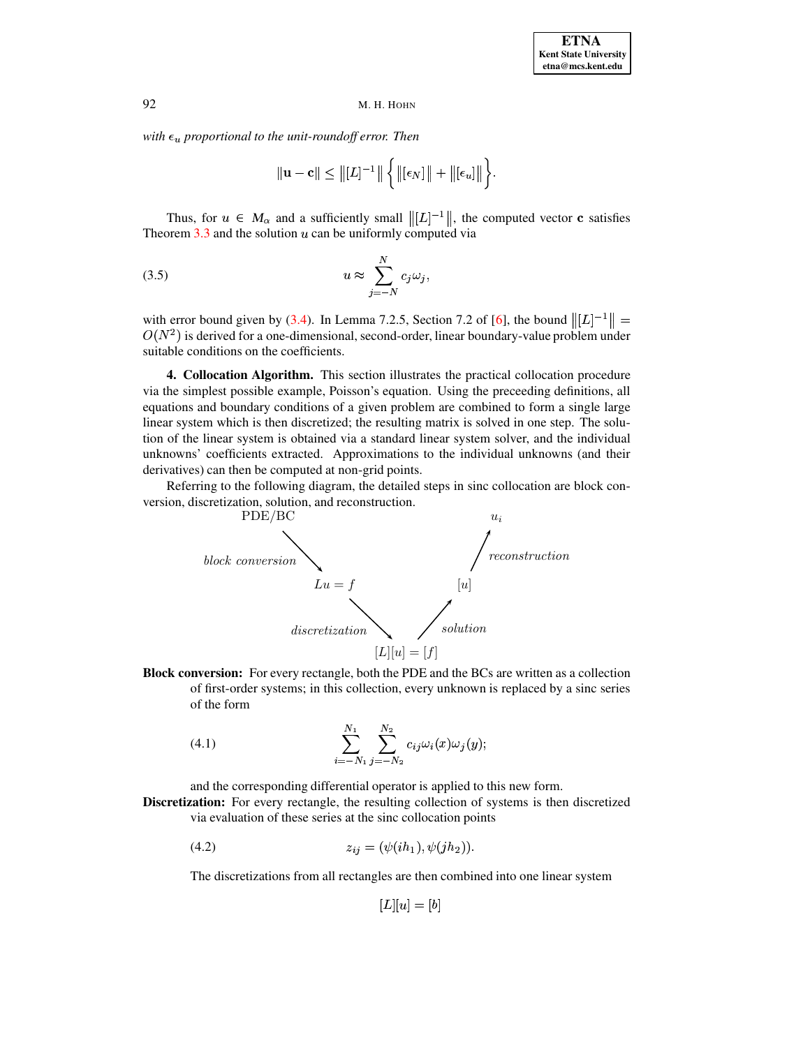*with*  $\epsilon_u$  *proportional to the unit-roundoff error. Then* 

<span id="page-4-1"></span>
$$
\|\mathbf{u}-\mathbf{c}\|\leq \|[L]^{-1}\|\left\{\|[\epsilon_N]\|+\|[\epsilon_u]\|\right\}.
$$

Thus, for  $u \in M_\alpha$  and a sufficiently small  $\| [L]^{-1} \|$ , the computed vector c satisfies Theorem  $3.3$  and the solution  $u$  can be uniformly computed via

$$
(3.5) \t u \approx \sum_{j=-N}^{N} c_j \omega_j,
$$

with error bound given by [\(3.4\)](#page-3-2). In Lemma 7.2.5, Section 7.2 of [\[6\]](#page-16-1), the bound  $\|L|^{-1}\| =$  $O(N^2)$  is derived for a one-dimensional, second-order, linear boundary-value problem under<br>suitable conditions on the coefficients suitable conditions on the coefficients.

<span id="page-4-2"></span>**4. Collocation Algorithm.** This section illustrates the practical collocation procedure via the simplest possible example, Poisson's equation. Using the preceeding definitions, all equations and boundary conditions of a given problem are combined to form a single large linear system which is then discretized; the resulting matrix is solved in one step. The solution of the linear system is obtained via a standard linear system solver, and the individual unknowns' coefficients extracted. Approximations to the individual unknowns (and their derivatives) can then be computed at non-grid points.

Referring to the following diagram, the detailed steps in sinc collocation are block conversion, discretization, solution, and reconstruction.



<span id="page-4-0"></span>**Block conversion:** For every rectangle, both the PDE and the BCs are written as a collection of first-order systems; in this collection, every unknown is replaced by a sinc series of the form

(4.1) 
$$
\sum_{i=-N_1}^{N_1} \sum_{j=-N_2}^{N_2} c_{ij} \omega_i(x) \omega_j(y);
$$

and the corresponding differential operator is applied to this new form.

**Discretization:** For every rectangle, the resulting collection of systems is then discretized via evaluation of these series at the sinc collocation points

(4.2) 
$$
z_{ij} = (\psi(ih_1), \psi(jh_2)).
$$

The discretizations from all rectangles are then combined into one linear system

<span id="page-4-3"></span>
$$
[L][u] = [b]
$$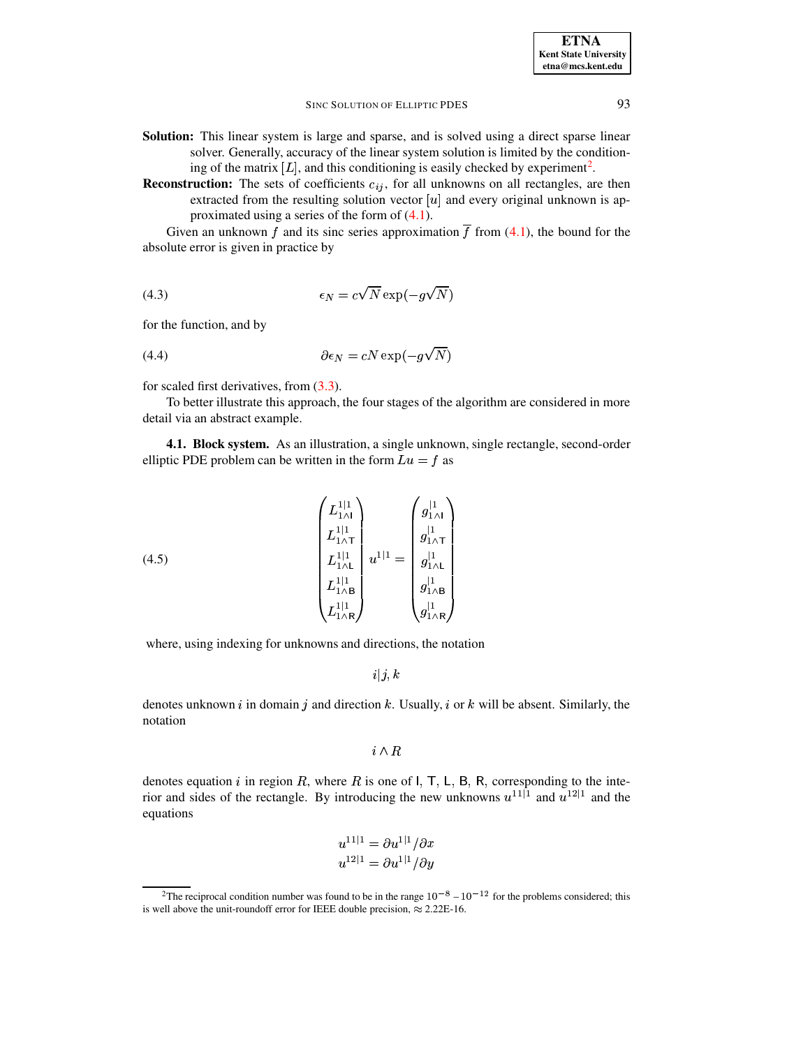- **Solution:** This linear system is large and sparse, and is solved using a direct sparse linear solver. Generally, accuracy of the linear system solution is limited by the conditioning of the matrix  $[L]$ , and this conditioning is easily checked by experiment<sup>[2](#page-5-0)</sup>.
- **Reconstruction:** The sets of coefficients  $c_{ij}$ , for all unknowns on all rectangles, are then extracted from the resulting solution vector  $[u]$  and every original unknown is approximated using a series of the form of [\(4.1\)](#page-4-0).

<span id="page-5-2"></span>Given an unknown f and its sinc series approximation  $\overline{f}$  from [\(4.1\)](#page-4-0), the bound for the absolute error is given in practice by

(4.3) 
$$
\epsilon_N = c\sqrt{N} \exp(-g\sqrt{N})
$$

<span id="page-5-3"></span>for the function, and by

(4.4) 
$$
\partial \epsilon_N = cN \exp(-g\sqrt{N})
$$

for scaled first derivatives, from [\(3.3\)](#page-3-3).

To better illustrate this approach, the four stages of the algorithm are considered in more detail via an abstract example.

<span id="page-5-1"></span>**4.1. Block system.** As an illustration, a single unknown, single rectangle, second-order elliptic PDE problem can be written in the form  $Lu = f$  as

(4.5) 
$$
\begin{pmatrix} L_{1 \wedge 1}^{1|1} \\ L_{1 \wedge 1}^{1|1} \\ L_{1 \wedge 1}^{1|1} \\ L_{1 \wedge 1}^{1|1} \\ L_{1 \wedge 1}^{1|1} \\ L_{1 \wedge R}^{1|1} \end{pmatrix} u^{1|1} = \begin{pmatrix} g_{1 \wedge 1}^{|1} \\ g_{1 \wedge 1}^{|1} \\ g_{1 \wedge 1}^{|1} \\ g_{1 \wedge 1}^{|1} \\ g_{1 \wedge R}^{|1} \\ g_{1 \wedge R}^{|1} \end{pmatrix}
$$

where, using indexing for unknowns and directions, the notation

 $i|j,k$ 

denotes unknown i in domain j and direction k. Usually, i or k will be absent. Similarly, the notation

 $i \wedge R$ 

denotes equation i in region R, where R is one of  $\mathsf{I}$ , T, L, B, R, corresponding to the interior and sides of the rectangle. By introducing the new unknowns  $u^{11}\vert$ <sup>1</sup> and  $u^{12}\vert$ <sup>1</sup> and the equations

$$
u^{11|1} = \partial u^{1|1}/\partial x
$$
  

$$
u^{12|1} = \partial u^{1|1}/\partial y
$$

<span id="page-5-0"></span><sup>&</sup>lt;sup>2</sup>The reciprocal condition number was found to be in the range  $10^{-8} - 10^{-12}$  for the problems considered; this is well above the unit-roundoff error for IEEE double precision,  $\approx 2.22E-16$ .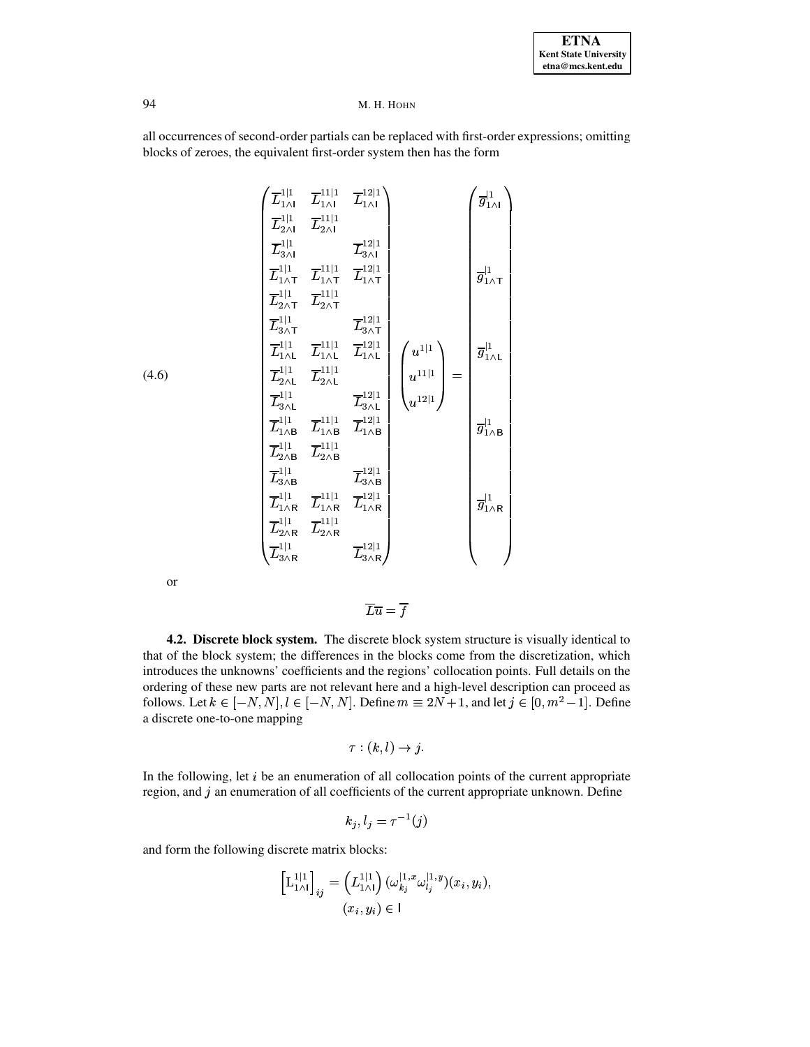<span id="page-6-0"></span>all occurrences of second-order partials can be replaced with first-order expressions; omitting blocks of zeroes, the equivalent first-order system then has the form

$$
\begin{pmatrix}\n\overline{L}_{1}^{1|1} & \overline{L}_{1\wedge 1}^{1|1} & \overline{L}_{1\wedge 1}^{1|1} \\
\overline{L}_{2\wedge 1}^{1|1} & \overline{L}_{2\wedge 1}^{1|1} \\
\overline{L}_{3\wedge 1}^{1|1} & \overline{L}_{1\wedge 1}^{1|1} \\
\overline{L}_{1\wedge 1}^{1|1} & \overline{L}_{1\wedge 1}^{1|1} \\
\overline{L}_{2\wedge 1}^{1|1} & \overline{L}_{2\wedge 1}^{1|1} \\
\overline{L}_{2\wedge 1}^{1|1} & \overline{L}_{2\wedge 1}^{1|1} \\
\overline{L}_{3\wedge 1}^{1|1} & \overline{L}_{3\wedge 1}^{1|1} \\
\overline{L}_{1\wedge 1}^{1|1} & \overline{L}_{1\wedge 1}^{1|1} \\
\overline{L}_{2\wedge 1}^{1|1} & \overline{L}_{1\wedge 1}^{1|1} \\
\overline{L}_{2\wedge 1}^{1|1} & \overline{L}_{3\wedge 1}^{1|1} \\
\overline{L}_{3\wedge 1}^{1|1} & \overline{L}_{3\wedge 1}^{1|1} \\
\overline{L}_{3\wedge 1}^{1|1} & \overline{L}_{3\wedge 1}^{1|1} \\
\overline{L}_{1\wedge 1}^{1|1} & \overline{L}_{1\wedge 1}^{1|1} \\
\overline{L}_{1\wedge 1}^{1|1} & \overline{L}_{1\wedge 1}^{1|1} \\
\overline{L}_{2\wedge 1}^{1|1} & \overline{L}_{1\wedge 1}^{1|1} \\
\overline{L}_{2\wedge 1}^{1|1} & \overline{L}_{1\wedge 1}^{1|1} \\
\overline{L}_{3\wedge 1}^{1|1} & \overline{L}_{1\wedge 1}^{1|1} \\
\overline{L}_{3\wedge 1}^{1|1} & \overline{L}_{1\wedge 1}^{1|1} \\
\overline{L}_{1\wedge 1}^{1|1} & \overline{L}_{1\wedge 1}^{1|1} \\
\overline{L}_{1\wedge 1}^{1|1
$$

or

(4.6)

$$
\overline{L}\overline{u} = \overline{f}
$$

**4.2. Discrete block system.** The discrete block system structure is visually identical to that of the block system; the differences in the blocks come from the discretization, which introduces the unknowns' coefficients and the regions' collocation points. Full details on the ordering of these new parts are not relevant here and a high-level description can proceed as follows. Let  $k \in [-N, N], l \in [-N, N]$ . Define  $m \equiv 2N + 1$ , and let  $j \in [0, m^2 - 1]$ . Define a discrete one-to-one mapping

$$
\tau : (k, l) \to j.
$$

In the following, let  $i$  be an enumeration of all collocation points of the current appropriate region, and  $j$  an enumeration of all coefficients of the current appropriate unknown. Define

$$
k_j, l_j = \tau^{-1}(j)
$$

and form the following discrete matrix blocks:

$$
\left[\mathcal{L}_{1 \wedge \mathcal{I}}^{1|1}\right]_{ij} = \left(\mathcal{L}_{1 \wedge \mathcal{I}}^{1|1}\right) (\omega_{k_j}^{\mathcal{I},x} \omega_{l_j}^{\mathcal{I},y})(x_i, y_i),
$$
  

$$
(x_i, y_i) \in \mathcal{I}
$$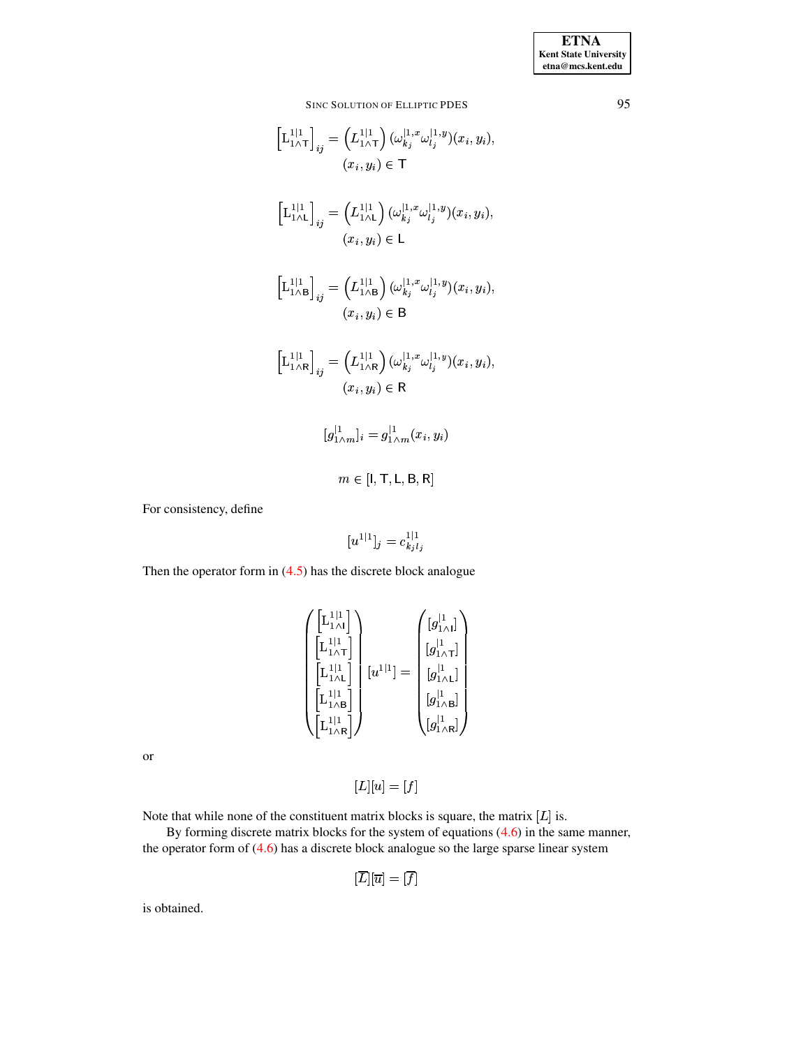$$
\begin{aligned}\n\left[\mathbf{L}_{1\wedge\mathsf{T}}^{1|1}\right]_{ij} &= \left(L_{1\wedge\mathsf{T}}^{1|1}\right)(\omega_{kj}^{1,x}\omega_{lj}^{1,y})(x_i,y_i), \\
(x_i,y_i) &\in \mathsf{T} \\
\left[\mathbf{L}_{1\wedge\mathsf{L}}^{1|1}\right]_{ij} &= \left(L_{1\wedge\mathsf{L}}^{1|1}\right)(\omega_{kj}^{1,x}\omega_{lj}^{1,y})(x_i,y_i), \\
(x_i,y_i) &\in \mathsf{L} \\
\left[\mathbf{L}_{1\wedge\mathsf{B}}^{1|1}\right]_{ij} &= \left(L_{1\wedge\mathsf{B}}^{1|1}\right)(\omega_{kj}^{1,x}\omega_{lj}^{1,y})(x_i,y_i), \\
(x_i,y_i) &\in \mathsf{B} \\
\left[\mathbf{L}_{1\wedge\mathsf{R}}^{1|1}\right]_{ij} &= \left(L_{1\wedge\mathsf{R}}^{1|1}\right)(\omega_{kj}^{1,x}\omega_{lj}^{1,y})(x_i,y_i), \\
(x_i,y_i) &\in \mathsf{R} \\
[g]_{1\wedge m}^{1|1} &= g]_{1\wedge m}^{1}(x_i,y_i) \\
m &\in [l, \mathsf{T}, \mathsf{L}, \mathsf{B}, \mathsf{R}]\n\end{aligned}
$$

For consistency, define

$$
[u^{1|1}]_j = c_{k_j l_j}^{1|1}
$$

Then the operator form in  $(4.5)$  has the discrete block analogue

$$
\begin{pmatrix}\n\begin{bmatrix}\nL_{1}^{1|1} \\
L_{1}^{1|1}\n\end{bmatrix} \\
\begin{bmatrix}\nL_{1}^{1|1} \\
L_{1}^{1|1}\n\end{bmatrix} \\
\begin{bmatrix}\nL_{1}^{1|1} \\
L_{1}^{1|1}\n\end{bmatrix} \\
\begin{bmatrix}\nL_{1}^{1|1} \\
L_{1}^{1|1}\n\end{bmatrix}\n\end{pmatrix}\n\begin{bmatrix}\nu^{1|1} \\
u^{1|1}\n\end{bmatrix} = \begin{pmatrix}\n[g_{1\wedge 1}^{1} \\
[g_{1\wedge 1}^{1} \\
[g_{1\wedge 1}^{1} \\
[g_{1\wedge 1}^{1} \\
[g_{1\wedge 1}^{1}]\n\end{pmatrix}
$$

or

$$
[L][u]=[f]
$$

Note that while none of the constituent matrix blocks is square, the matrix  $[L]$  is.

By forming discrete matrix blocks for the system of equations  $(4.6)$  in the same manner, the operator form of  $(4.6)$  has a discrete block analogue so the large sparse linear system

$$
[\overline{L}][\overline{u}] = [\overline{f}]
$$

is obtained.

95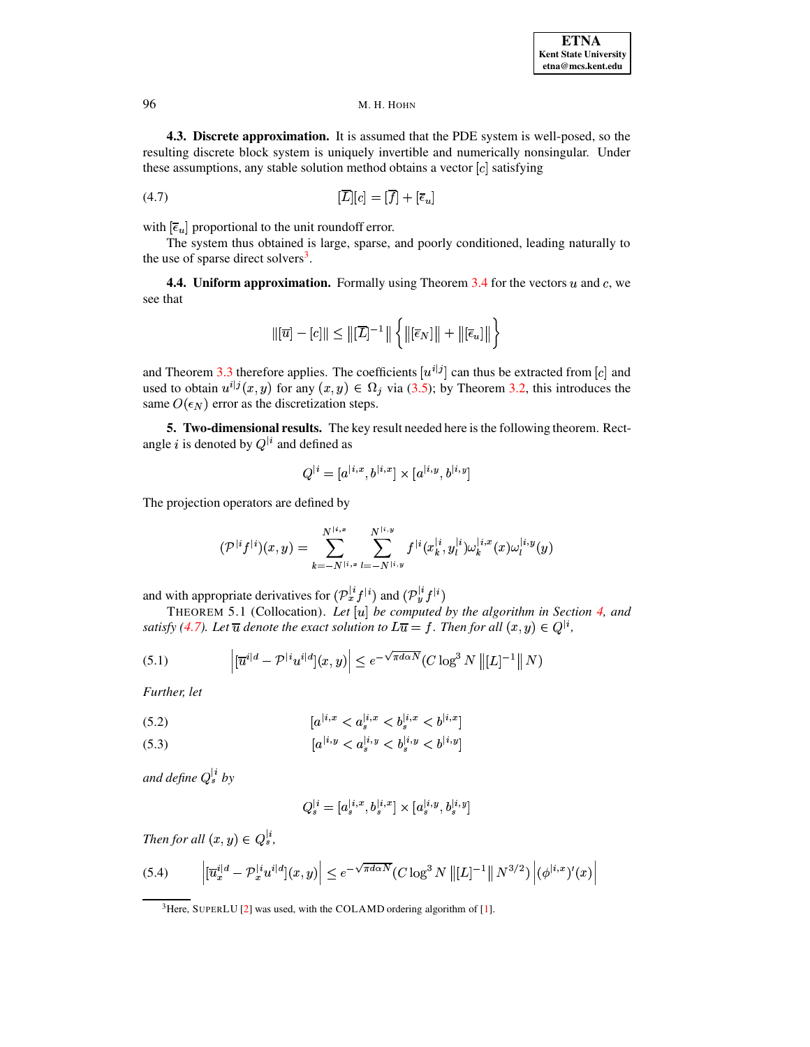4.3. Discrete approximation. It is assumed that the PDE system is well-posed, so the resulting discrete block system is uniquely invertible and numerically nonsingular. Under these assumptions, any stable solution method obtains a vector  $[c]$  satisfying

$$
\overline{[L]}[c] = \overline{[f]} + \overline{[e_u]}
$$

with  $[\bar{\epsilon}_u]$  proportional to the unit roundoff error.

The system thus obtained is large, sparse, and poorly conditioned, leading naturally to the use of sparse direct solvers<sup>3</sup>.

**4.4. Uniform approximation.** Formally using Theorem  $3.4$  for the vectors u and c, we see that

<span id="page-8-1"></span>
$$
\|[\overline{u}] - [c]\| \leq \|[\overline{L}]^{-1}\| \left\{\|[\overline{\epsilon}_N]\| + \|[\overline{\epsilon}_u]\|\right\}
$$

and Theorem 3.3 therefore applies. The coefficients  $[u^{i|j}]$  can thus be extracted from [c] and used to obtain  $u^{i|j}(x, y)$  for any  $(x, y) \in \Omega_j$  via (3.5); by Theorem 3.2, this introduces the same  $O(\epsilon_N)$  error as the discretization steps.

5. Two-dimensional results. The key result needed here is the following theorem. Rectangle i is denoted by  $Q^{\dagger i}$  and defined as

<span id="page-8-3"></span><span id="page-8-2"></span>
$$
Q^{|i} = [a^{|i,x}, b^{|i,x}] \times [a^{|i,y}, b^{|i,y}]
$$

The projection operators are defined by

$$
(\mathcal{P}^{|i} f^{|i})(x,y) = \sum_{k=-N^{|i,x}}^{N^{|i,x}} \sum_{l=-N^{|i,y}}^{N^{|i,y}} f^{|i}(x_k^{|i}, y_l^{|i}) \omega_k^{|i,x}(x) \omega_l^{|i,y}(y)
$$

and with appropriate derivatives for  $(\mathcal{P}_x^{i} f^{i})$  and  $(\mathcal{P}_y^{i} f^{i})$ 

THEOREM 5.1 (Collocation). Let  $[u]$  be computed by the algorithm in Section 4, and satisfy (4.7). Let  $\overline{u}$  denote the exact solution to  $L\overline{u} = f$ . Then for all  $(x, y) \in Q^{\vert i}$ ,

(5.1) 
$$
\left| [\overline{u}^{i|d} - \mathcal{P}^{|i} u^{i|d}] (x, y) \right| \leq e^{-\sqrt{\pi d \alpha N}} (C \log^3 N \| [L]^{-1} \| N)
$$

Further, let

(5.2) 
$$
[a^{(i,x)} < a^{(i,x)} \le b^{(i,x)} \le b^{(i,x)}]
$$

(5.3) 
$$
[a^{[i,y]} < a^{[i,y]} < b^{[i,y]} < b^{[i,y]}
$$

and define  $Q_s^{\dagger i}$  by

$$
Q_s^{|i}=[a_s^{|i,x},b_s^{|i,x}]\times [a_s^{|i,y},b_s^{|i,y}]
$$

<span id="page-8-4"></span>Then for all  $(x, y) \in Q_s^{|i|}$ ,

$$
(5.4) \qquad \left| [\overline{u}_x^{i|d} - \mathcal{P}_x^{[i} u^{i|d}](x, y) \right| \le e^{-\sqrt{\pi d \alpha N}} (C \log^3 N \left\| [L]^{-1} \right\| N^{3/2}) \left| (\phi^{[i,x})'(x) \right|
$$

<span id="page-8-0"></span><sup>&</sup>lt;sup>3</sup>Here, SUPERLU [2] was used, with the COLAMD ordering algorithm of [1].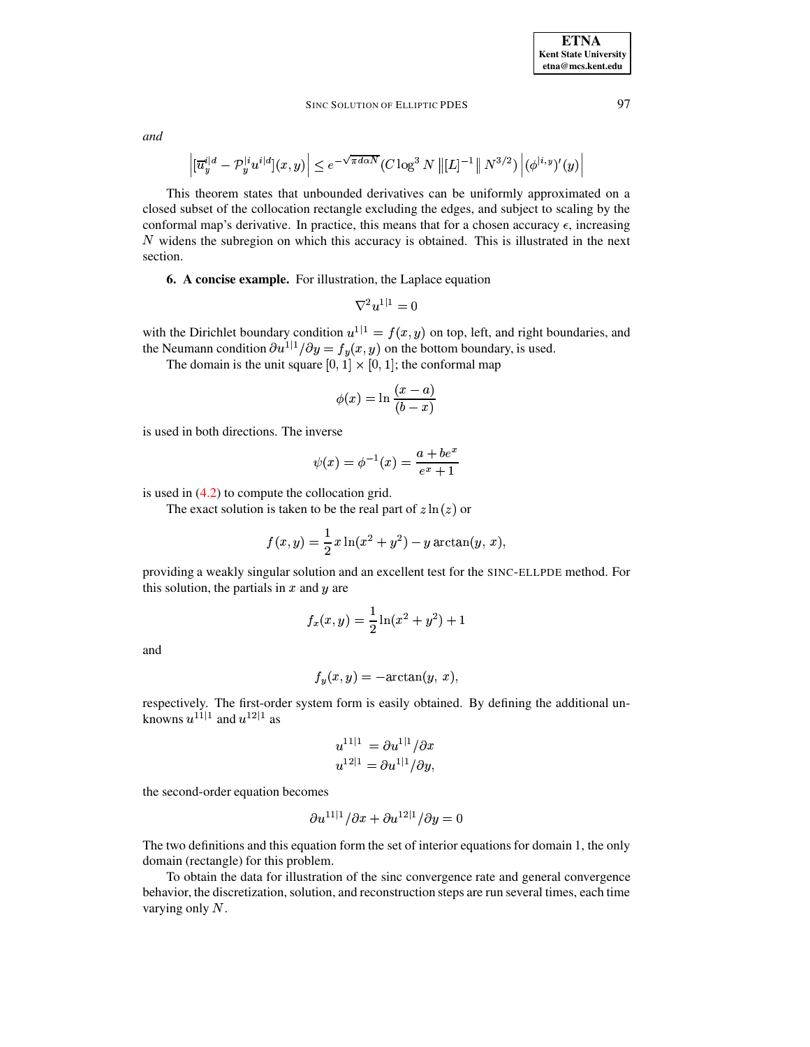and

$$
\left|[\overline{u}_y^{i|d} - \mathcal{P}_y^{[i}u^{i|d}](x,y)\right| \leq e^{-\sqrt{\pi d \alpha N}} (C \log^3 N \left\| [L]^{-1} \right\| N^{3/2}) \left|(\phi^{[i,y)'}(y)\right|
$$

This theorem states that unbounded derivatives can be uniformly approximated on a closed subset of the collocation rectangle excluding the edges, and subject to scaling by the conformal map's derivative. In practice, this means that for a chosen accuracy  $\epsilon$ , increasing  $N$  widens the subregion on which this accuracy is obtained. This is illustrated in the next section.

6. A concise example. For illustration, the Laplace equation

$$
\nabla^2 u^{1|1} = 0
$$

with the Dirichlet boundary condition  $u^{1|1} = f(x, y)$  on top, left, and right boundaries, and the Neumann condition  $\partial u^{1|1}/\partial y = f_y(x, y)$  on the bottom boundary, is used.

The domain is the unit square  $[0, 1] \times [0, 1]$ ; the conformal map

$$
\phi(x) = \ln \frac{(x-a)}{(b-x)}
$$

is used in both directions. The inverse

$$
\psi(x) = \phi^{-1}(x) = \frac{a + be^x}{e^x + 1}
$$

is used in  $(4.2)$  to compute the collocation grid.

The exact solution is taken to be the real part of  $z \ln(z)$  or

$$
f(x,y) = \frac{1}{2} x \ln(x^2 + y^2) - y \arctan(y, x),
$$

providing a weakly singular solution and an excellent test for the SINC-ELLPDE method. For this solution, the partials in  $x$  and  $y$  are

$$
f_x(x,y) = \frac{1}{2}\ln(x^2 + y^2) + 1
$$

and

$$
f_y(x, y) = -\arctan(y, x),
$$

respectively. The first-order system form is easily obtained. By defining the additional unknowns  $u^{11|1}$  and  $u^{12|1}$  as

$$
u^{11|1} = \partial u^{1|1}/\partial x
$$
  

$$
u^{12|1} = \partial u^{1|1}/\partial y,
$$

the second-order equation becomes

$$
\partial u^{11|1}/\partial x + \partial u^{12|1}/\partial y = 0
$$

The two definitions and this equation form the set of interior equations for domain 1, the only domain (rectangle) for this problem.

To obtain the data for illustration of the sinc convergence rate and general convergence behavior, the discretization, solution, and reconstruction steps are run several times, each time varying only  $N$ .

97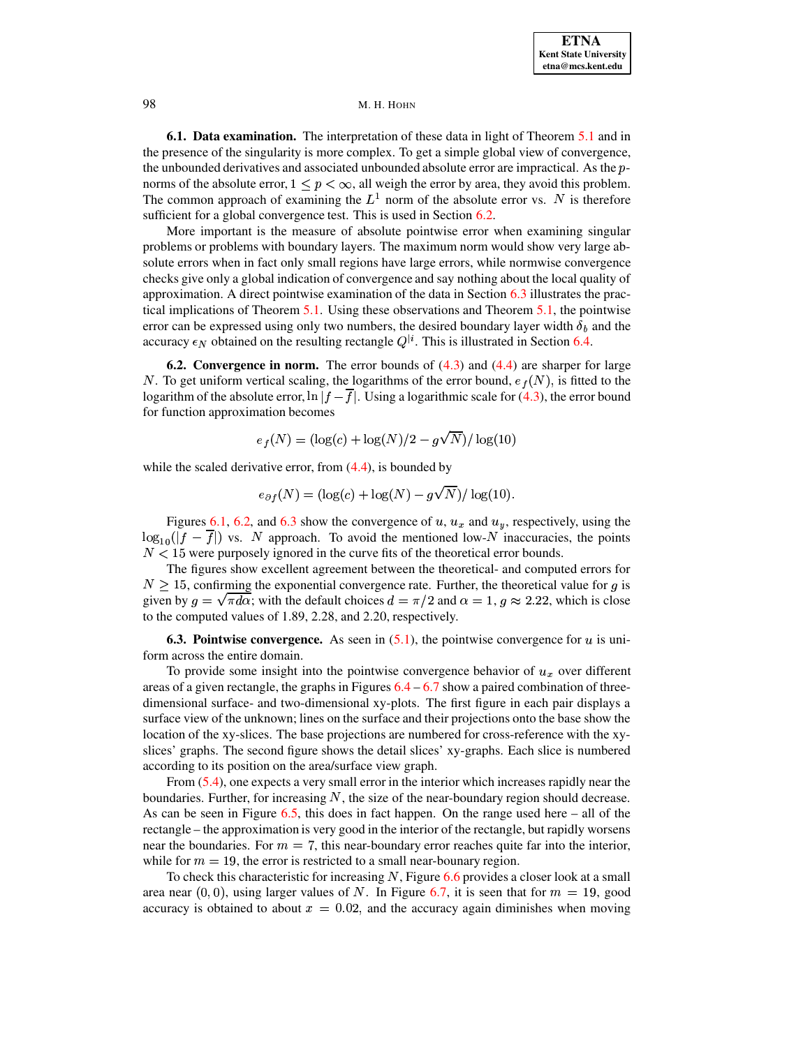**6.1. Data examination.** The interpretation of these data in light of Theorem 5.1 and in the presence of the singularity is more complex. To get a simple global view of convergence, the unbounded derivatives and associated unbounded absolute error are impractical. As the  $p$ norms of the absolute error,  $1 \leq p < \infty$ , all weigh the error by area, they avoid this problem. The common approach of examining the  $L^1$  norm of the absolute error vs. N is therefore sufficient for a global convergence test. This is used in Section 6.2.

More important is the measure of absolute pointwise error when examining singular problems or problems with boundary layers. The maximum norm would show very large absolute errors when in fact only small regions have large errors, while normwise convergence checks give only a global indication of convergence and say nothing about the local quality of approximation. A direct pointwise examination of the data in Section  $6.3$  illustrates the practical implications of Theorem 5.1. Using these observations and Theorem 5.1, the pointwise error can be expressed using only two numbers, the desired boundary layer width  $\delta_b$  and the accuracy  $\epsilon_N$  obtained on the resulting rectangle  $Q^{\dagger i}$ . This is illustrated in Section 6.4.

<span id="page-10-0"></span>**6.2. Convergence in norm.** The error bounds of  $(4.3)$  and  $(4.4)$  are sharper for large N. To get uniform vertical scaling, the logarithms of the error bound,  $e_f(N)$ , is fitted to the logarithm of the absolute error,  $\ln |f - \overline{f}|$ . Using a logarithmic scale for (4.3), the error bound for function approximation becomes

$$
e_f(N) = (\log(c) + \log(N)/2 - g\sqrt{N})/\log(10)
$$

while the scaled derivative error, from  $(4.4)$ , is bounded by

$$
e_{\partial f}(N) = (\log(c) + \log(N) - g\sqrt{N})/\log(10).
$$

Figures 6.1, 6.2, and 6.3 show the convergence of  $u, u_x$  and  $u_y$ , respectively, using the  $\log_{10}(|f - \overline{f}|)$  vs. N approach. To avoid the mentioned low-N inaccuracies, the points  $N < 15$  were purposely ignored in the curve fits of the theoretical error bounds.

The figures show excellent agreement between the theoretical- and computed errors for  $N > 15$ , confirming the exponential convergence rate. Further, the theoretical value for g is given by  $g = \sqrt{\pi} d\alpha$ ; with the default choices  $d = \pi/2$  and  $\alpha = 1$ ,  $g \approx 2.22$ , which is close to the computed values of 1.89, 2.28, and 2.20, respectively.

<span id="page-10-1"></span>**6.3. Pointwise convergence.** As seen in  $(5.1)$ , the pointwise convergence for u is uniform across the entire domain.

To provide some insight into the pointwise convergence behavior of  $u_x$  over different areas of a given rectangle, the graphs in Figures  $6.4 - 6.7$  show a paired combination of threedimensional surface- and two-dimensional xy-plots. The first figure in each pair displays a surface view of the unknown; lines on the surface and their projections onto the base show the location of the xy-slices. The base projections are numbered for cross-reference with the xyslices' graphs. The second figure shows the detail slices' xy-graphs. Each slice is numbered according to its position on the area/surface view graph.

From  $(5.4)$ , one expects a very small error in the interior which increases rapidly near the boundaries. Further, for increasing  $N$ , the size of the near-boundary region should decrease. As can be seen in Figure  $6.5$ , this does in fact happen. On the range used here  $-$  all of the rectangle – the approximation is very good in the interior of the rectangle, but rapidly worsens near the boundaries. For  $m = 7$ , this near-boundary error reaches quite far into the interior, while for  $m = 19$ , the error is restricted to a small near-bounary region.

To check this characteristic for increasing  $N$ , Figure 6.6 provides a closer look at a small area near  $(0,0)$ , using larger values of N. In Figure 6.7, it is seen that for  $m = 19$ , good accuracy is obtained to about  $x = 0.02$ , and the accuracy again diminishes when moving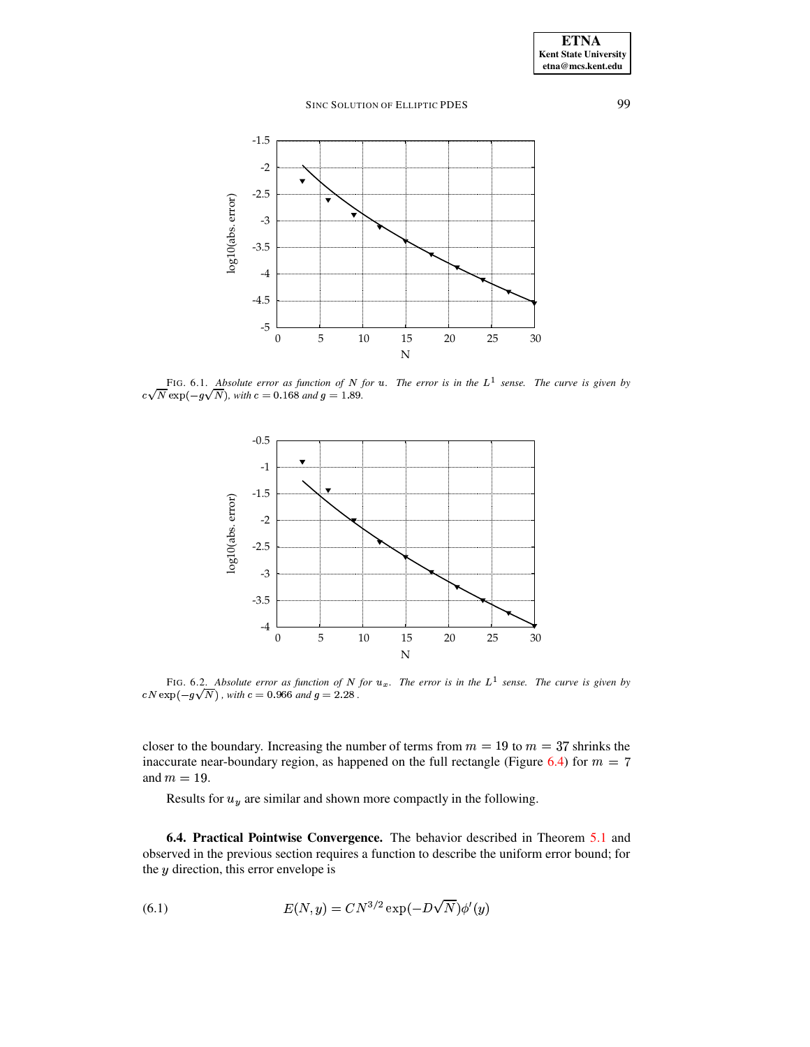

<span id="page-11-1"></span>FIG. 6.1. Absolute error as function of N for  $u$ . The error is in the  $L^1$  sense. The curve is given by  $c\sqrt{N} \exp(-g\sqrt{N})$ , with  $c = 0.168$  and  $g = 1.89$ .



<span id="page-11-2"></span>FIG. 6.2. Absolute error as function of N for  $u_x$ . The error is in the  $L^1$  sense. The curve is given by  $cN\exp(-g\sqrt{N})$  , with  $c=0.966$  and  $g=2.28$  .

closer to the boundary. Increasing the number of terms from  $m = 19$  to  $m = 37$  shrinks the inaccurate near-boundary region, as happened on the full rectangle (Figure [6.4\)](#page-12-1) for  $\lambda m = 19.$ 

<span id="page-11-3"></span>Results for  $u_y$  are similar and shown more compactly in the following.

<span id="page-11-0"></span>**6.4. Practical Pointwise Convergence.** The behavior described in Theorem [5.1](#page-8-2) and observed in the previous section requires a function to describe the uniform error bound; for the  $y$  direction, this error envelope is

(6.1) 
$$
E(N, y) = CN^{3/2} \exp(-D\sqrt{N}) \phi'(y)
$$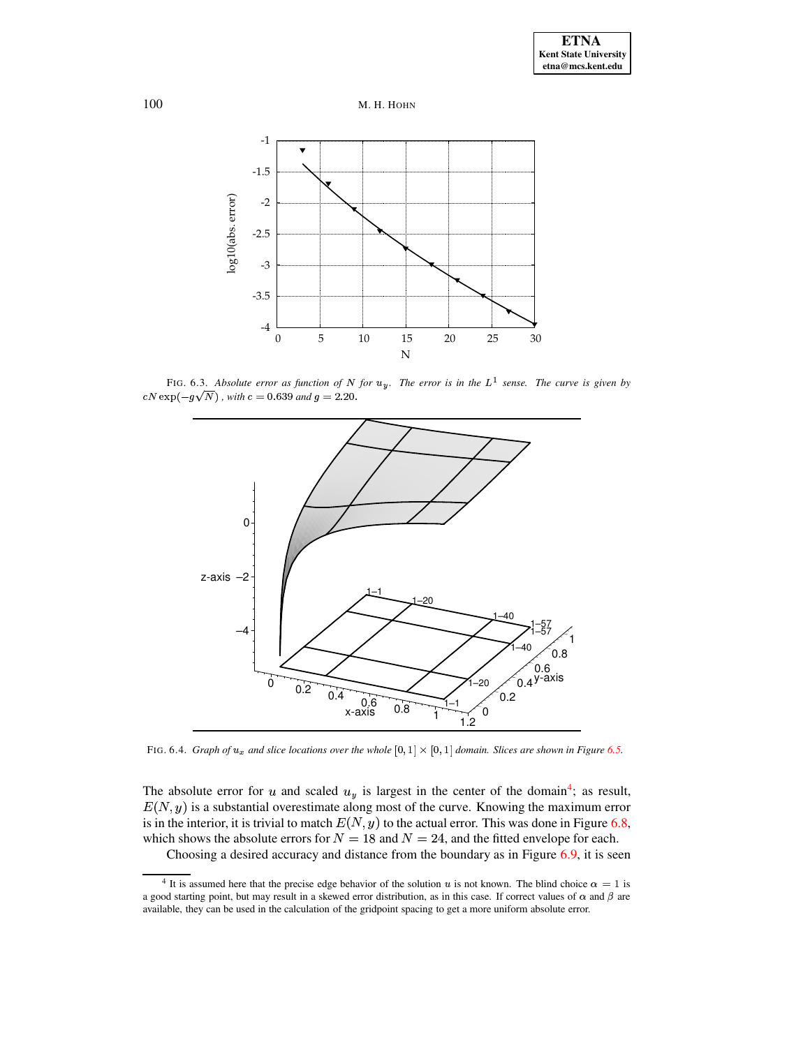



<span id="page-12-0"></span>FIG. 6.3. Absolute error as function of N for  $u_y$ . The error is in the  $L^1$  sense. The curve is given by  $cN\exp(-g\sqrt{N})$  , with  $c=0.639$  and  $g=2.20.$ 



<span id="page-12-1"></span>FIG. 6.4. *Graph* of  $u_x$  and slice locations over the whole  $[0, 1] \times [0, 1]$  domain. Slices are shown in Figure [6.5.](#page-13-0)

The absolute error for u and scaled  $u<sub>y</sub>$  is largest in the center of the domain<sup>[4](#page-12-2)</sup>; as result,  $E(N, y)$  is a substantial overestimate along most of the curve. Knowing the maximum error is in the interior, it is trivial to match  $E(N, y)$  to the actual error. This was done in Figure [6.8,](#page-16-3) which shows the absolute errors for  $N = 18$  and  $N = 24$ , and the fitted envelope for each.

Choosing a desired accuracy and distance from the boundary as in Figure [6.9,](#page-16-4) it is seen

<span id="page-12-2"></span><sup>&</sup>lt;sup>4</sup> It is assumed here that the precise edge behavior of the solution u is not known. The blind choice  $\alpha = 1$  is a good starting point, but may result in a skewed error distribution, as in this case. If correct values of  $\alpha$  and  $\beta$  are available, they can be used in the calculation of the gridpoint spacing to get a more uniform absolute error.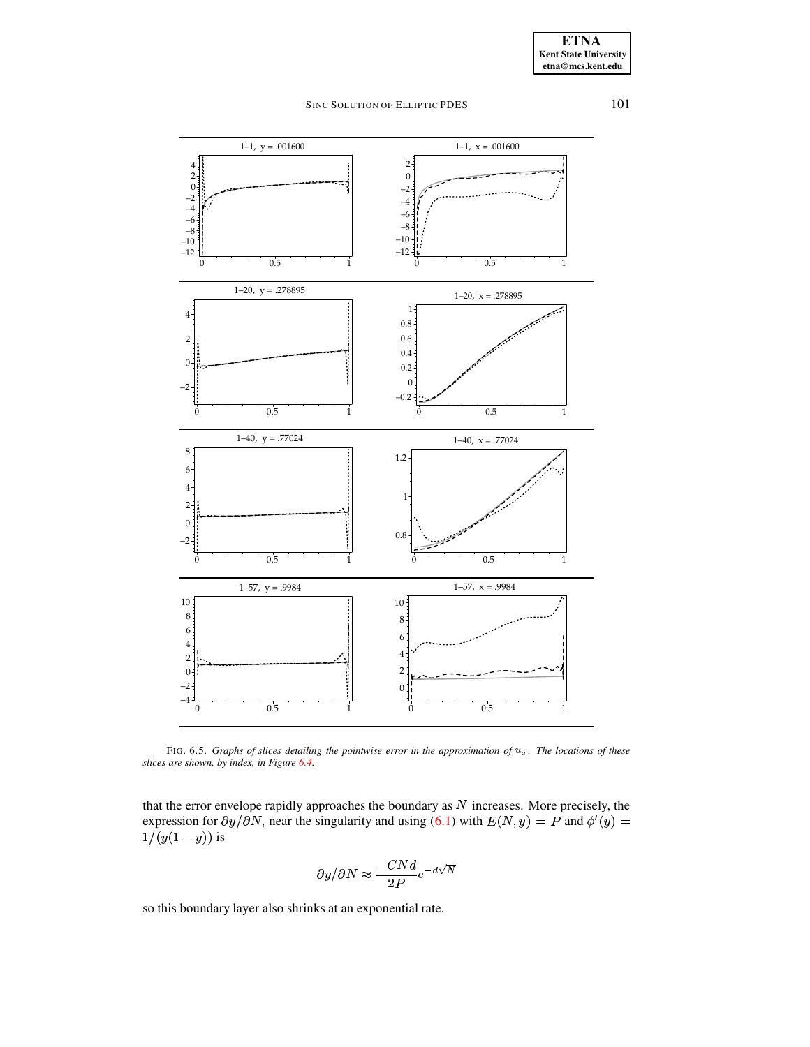101



<span id="page-13-0"></span>FIG. 6.5. Graphs of slices detailing the pointwise error in the approximation of  $u_x$ . The locations of these slices are shown, by index, in Figure 6.4.

that the error envelope rapidly approaches the boundary as  $N$  increases. More precisely, the expression for  $\partial y/\partial N$ , near the singularity and using (6.1) with  $E(N, y) = P$  and  $\phi'(y) =$  $1/(y(1-y))$  is

$$
\partial y/\partial N \approx \frac{-CNd}{2P}e^{-d\sqrt{N}}
$$

so this boundary layer also shrinks at an exponential rate.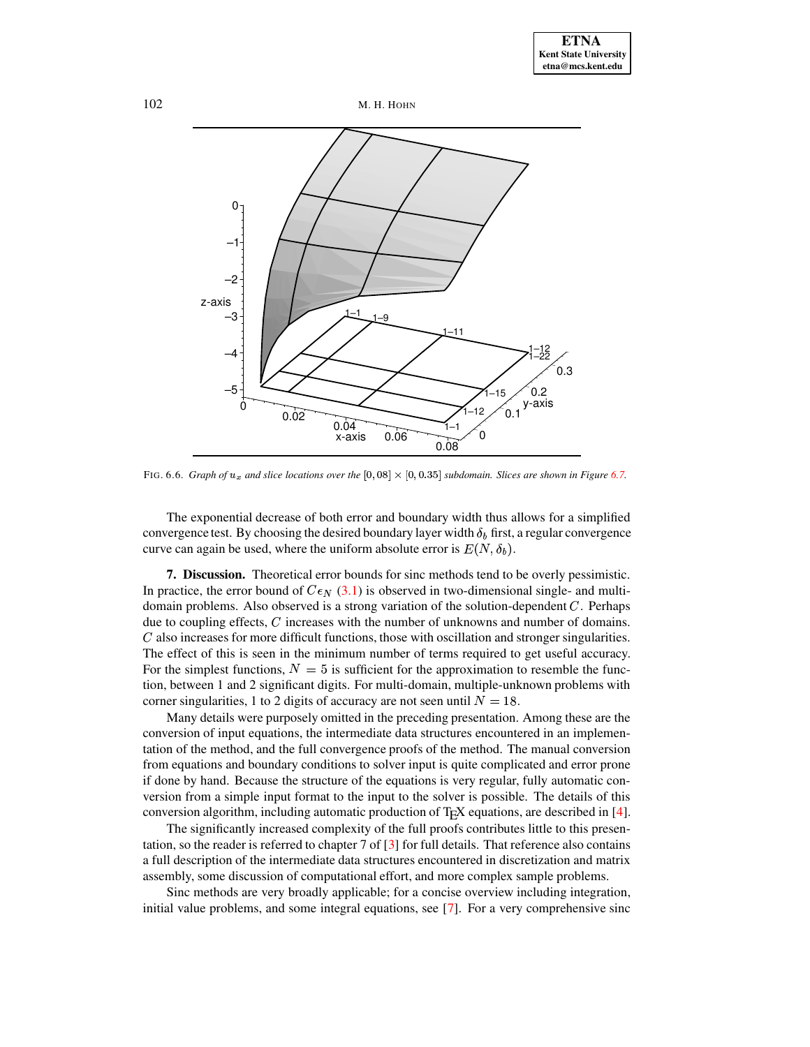

<span id="page-14-0"></span>FIG. 6.6. *Graph* of  $u_x$  and slice locations over the  $[0, 08] \times [0, 0.35]$  subdomain. Slices are shown in Figure [6.7.](#page-15-2)

The exponential decrease of both error and boundary width thus allows for a simplified convergence test. By choosing the desired boundary layer width  $\delta_b$  first, a regular convergence curve can again be used, where the uniform absolute error is  $E(N, \delta_b)$ .

**7. Discussion.** Theoretical error bounds for sinc methods tend to be overly pessimistic. In practice, the error bound of  $C\epsilon_N$  [\(3.1\)](#page-3-5) is observed in two-dimensional single- and multidomain problems. Also observed is a strong variation of the solution-dependent  $C$ . Perhaps due to coupling effects,  $C$  increases with the number of unknowns and number of domains.  $C$  also increases for more difficult functions, those with oscillation and stronger singularities. The effect of this is seen in the minimum number of terms required to get useful accuracy. For the simplest functions,  $N = 5$  is sufficient for the approximation to resemble the function, between 1 and 2 significant digits. For multi-domain, multiple-unknown problems with corner singularities, 1 to 2 digits of accuracy are not seen until  $N = 18$ .

Many details were purposely omitted in the preceding presentation. Among these are the conversion of input equations, the intermediate data structures encountered in an implementation of the method, and the full convergence proofs of the method. The manual conversion from equations and boundary conditions to solver input is quite complicated and error prone if done by hand. Because the structure of the equations is very regular, fully automatic conversion from a simple input format to the input to the solver is possible. The details of this conversion algorithm, including automatic production of T<sub>E</sub>X equations, are described in [\[4\]](#page-16-5).

The significantly increased complexity of the full proofs contributes little to this presentation, so the reader is referred to chapter 7 of [\[3\]](#page-16-2) for full details. That reference also contains a full description of the intermediate data structures encountered in discretization and matrix assembly, some discussion of computational effort, and more complex sample problems.

Sinc methods are very broadly applicable; for a concise overview including integration, initial value problems, and some integral equations, see [\[7\]](#page-16-6). For a very comprehensive sinc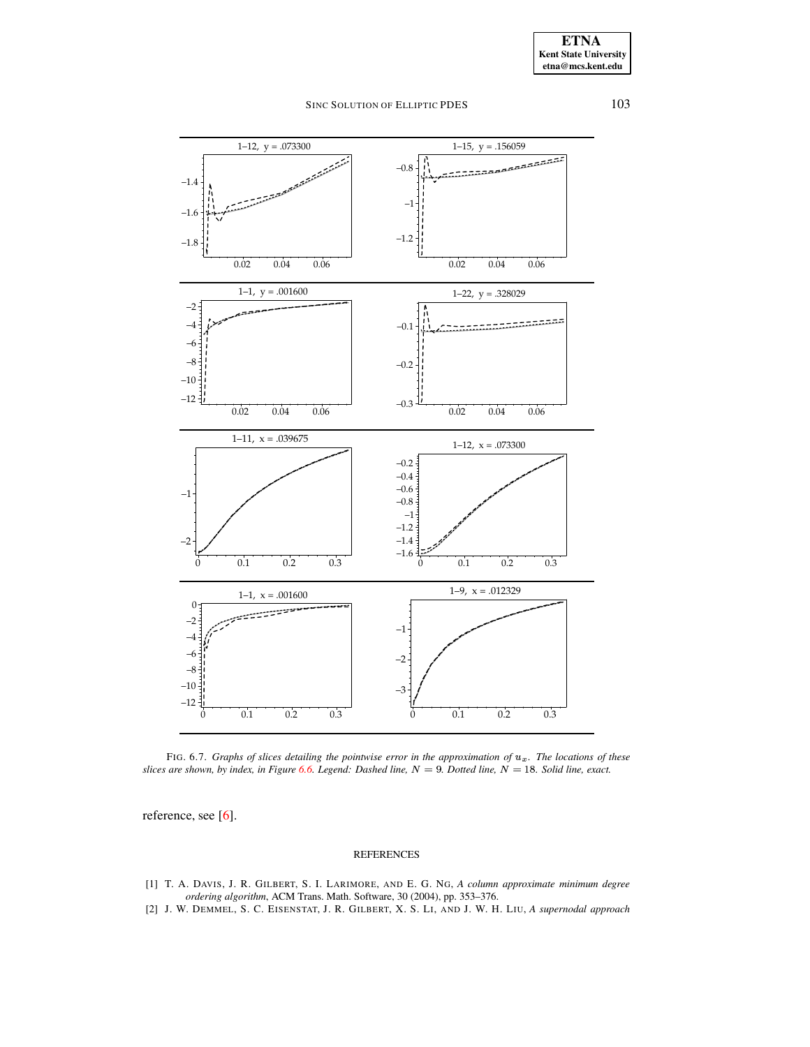

<span id="page-15-2"></span>FIG. 6.7. *Graphs of slices detailing the pointwise error in the approximation of*  $u_x$ . *The locations of these* slices are shown, by index, in Figure [6.6.](#page-14-0) Legend: Dashed line,  $N = 9$ . Dotted line,  $N = 18$ . Solid line, exact.

reference, see [\[6\]](#page-16-1).

#### REFERENCES

- <span id="page-15-1"></span>[1] T. A. DAVIS, J. R. GILBERT, S. I. LARIMORE, AND E. G. NG, *A column approximate minimum degree ordering algorithm*, ACM Trans. Math. Software, 30 (2004), pp. 353–376.
- <span id="page-15-0"></span>[2] J. W. DEMMEL, S. C. EISENSTAT, J. R. GILBERT, X. S. LI, AND J. W. H. LIU, *A supernodal approach*